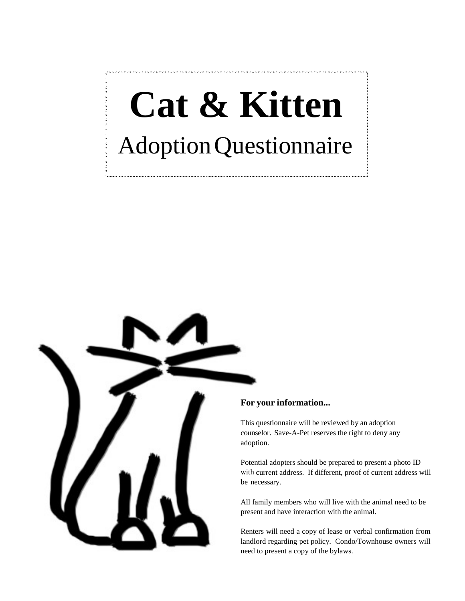## **Cat & Kitten**AdoptionQuestionnaire



## **For your information...**

This questionnaire will be reviewed by an adoption counselor. Save-A-Pet reserves the right to deny any adoption.

Potential adopters should be prepared to present a photo ID with current address. If different, proof of current address will be necessary.

All family members who will live with the animal need to be present and have interaction with the animal.

Renters will need a copy of lease or verbal confirmation from landlord regarding pet policy. Condo/Townhouse owners will need to present a copy of the bylaws.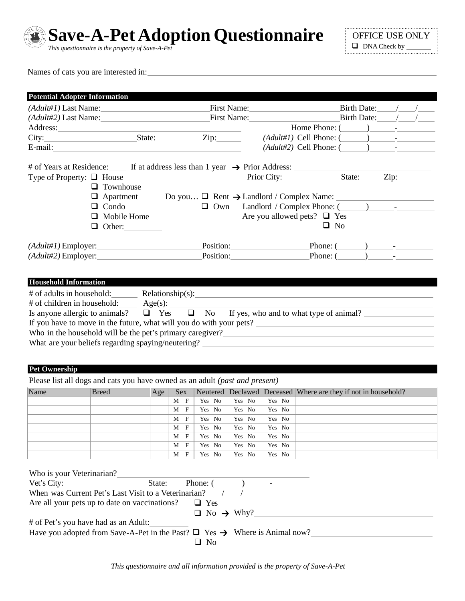

**Save-A-Pet Adoption Questionnaire**

*This questionnaire is the property of Save-A-Pet*

Names of cats you are interested in:

| <b>Potential Adopter Information</b>                                                        |                      |                   |                  |                                   |        |                                                                                                                                                                                                                                                                                                              |
|---------------------------------------------------------------------------------------------|----------------------|-------------------|------------------|-----------------------------------|--------|--------------------------------------------------------------------------------------------------------------------------------------------------------------------------------------------------------------------------------------------------------------------------------------------------------------|
|                                                                                             |                      |                   | First Name:      |                                   |        | Birth Date: $\frac{1}{\sqrt{2\pi}}$                                                                                                                                                                                                                                                                          |
|                                                                                             |                      |                   | First Name: 1988 |                                   |        | Birth Date: $\angle$                                                                                                                                                                                                                                                                                         |
|                                                                                             |                      |                   |                  |                                   |        | Home Phone: $($ $)$ $-$                                                                                                                                                                                                                                                                                      |
|                                                                                             |                      |                   |                  |                                   |        | $(Adult\#1)$ Cell Phone: $(\_\_\_\_\_\_\_\_\$                                                                                                                                                                                                                                                                |
|                                                                                             |                      |                   |                  |                                   |        | $(Adult#2)$ Cell Phone: $(\_\_\_\_\_\_\$                                                                                                                                                                                                                                                                     |
|                                                                                             |                      |                   |                  |                                   |        |                                                                                                                                                                                                                                                                                                              |
|                                                                                             |                      |                   |                  |                                   |        |                                                                                                                                                                                                                                                                                                              |
|                                                                                             | $\Box$ Townhouse     |                   |                  |                                   |        |                                                                                                                                                                                                                                                                                                              |
|                                                                                             | $\Box$ Apartment     |                   |                  |                                   |        | Do you $\Box$ Rent $\rightarrow$ Landlord / Complex Name:                                                                                                                                                                                                                                                    |
|                                                                                             | $\Box$ Condo         |                   | $\Box$ Own       |                                   |        | Landlord / Complex Phone: (2008)                                                                                                                                                                                                                                                                             |
|                                                                                             | $\Box$ Mobile Home   |                   |                  |                                   |        | Are you allowed pets? $\Box$ Yes                                                                                                                                                                                                                                                                             |
|                                                                                             | $\Box$ Other:        |                   |                  |                                   |        | $\Box$ No                                                                                                                                                                                                                                                                                                    |
|                                                                                             |                      |                   |                  |                                   |        |                                                                                                                                                                                                                                                                                                              |
| $(Adult#1)$ Employer:                                                                       |                      |                   |                  |                                   |        | Phone: $(\_\_\_\_\_\_\_\_\$                                                                                                                                                                                                                                                                                  |
| $(Adult#2)$ Employer:                                                                       |                      |                   |                  |                                   |        | Position: Phone: ( ) -                                                                                                                                                                                                                                                                                       |
| <b>Pet Ownership</b>                                                                        |                      |                   |                  |                                   |        | If you have to move in the future, what will you do with your pets?<br>Who in the household will be the pet's primary caregiver?<br><u>Letting</u> the state of the control of the period of the period of the period of the period of the period of the period of the period of the period of the period of |
| Please list all dogs and cats you have owned as an adult (past and present)                 |                      |                   |                  |                                   |        |                                                                                                                                                                                                                                                                                                              |
| Name                                                                                        | <b>Breed</b><br> Age | Sex<br>$M$ F      | Yes No           | Yes No                            | Yes No | Neutered   Declawed   Deceased   Where are they if not in household?                                                                                                                                                                                                                                         |
|                                                                                             |                      | M<br>$\mathbf{F}$ | Yes No           | Yes No                            | Yes No |                                                                                                                                                                                                                                                                                                              |
|                                                                                             |                      | M<br>$\mathbf{F}$ | Yes No           | Yes No                            | Yes No |                                                                                                                                                                                                                                                                                                              |
|                                                                                             |                      | $M$ F             | Yes No           | Yes No                            | Yes No |                                                                                                                                                                                                                                                                                                              |
|                                                                                             |                      | М<br>$\mathbf F$  | Yes No           | Yes No                            | Yes No |                                                                                                                                                                                                                                                                                                              |
|                                                                                             |                      | F<br>М            | Yes No           | Yes No                            | Yes No |                                                                                                                                                                                                                                                                                                              |
|                                                                                             |                      | F<br>M            | Yes No           | Yes No                            | Yes No |                                                                                                                                                                                                                                                                                                              |
| Who is your Veterinarian?                                                                   |                      |                   |                  |                                   |        |                                                                                                                                                                                                                                                                                                              |
| Vert's City:<br>When was Current Pet's Last Visit to a Veterinarian? /                      | State:               |                   | Phone: (         | $\overline{a}$ ) $\overline{a}$ - |        |                                                                                                                                                                                                                                                                                                              |
|                                                                                             |                      |                   |                  |                                   |        |                                                                                                                                                                                                                                                                                                              |
| Are all your pets up to date on vaccinations?                                               |                      |                   | $\Box$ Yes       |                                   |        |                                                                                                                                                                                                                                                                                                              |
|                                                                                             |                      |                   |                  | $\Box$ No $\rightarrow$ Why?      |        |                                                                                                                                                                                                                                                                                                              |
| # of Pet's you have had as an Adult:                                                        |                      |                   |                  |                                   |        |                                                                                                                                                                                                                                                                                                              |
| Have you adopted from Save-A-Pet in the Past? $\Box$ Yes $\rightarrow$ Where is Animal now? |                      |                   | $\Box$ No        |                                   |        |                                                                                                                                                                                                                                                                                                              |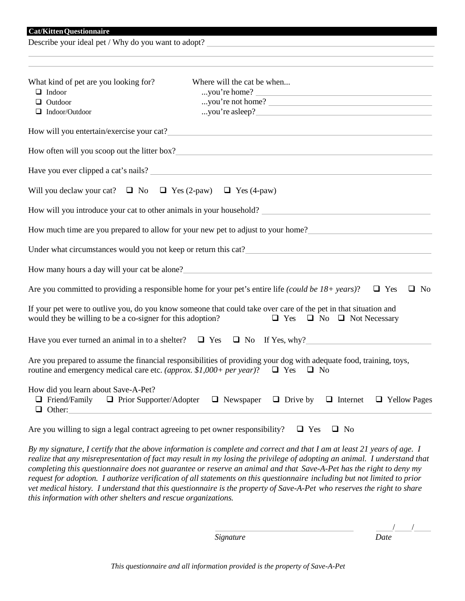Describe your ideal pet / Why do you want to adopt?

| What kind of pet are you looking for?                                                                                                                                                                                                                                                                                                                     | Where will the cat be when                                                                                                                                                                                                             |
|-----------------------------------------------------------------------------------------------------------------------------------------------------------------------------------------------------------------------------------------------------------------------------------------------------------------------------------------------------------|----------------------------------------------------------------------------------------------------------------------------------------------------------------------------------------------------------------------------------------|
| $\Box$ Indoor                                                                                                                                                                                                                                                                                                                                             | you're home?                                                                                                                                                                                                                           |
| $\Box$ Outdoor                                                                                                                                                                                                                                                                                                                                            | you're not home?                                                                                                                                                                                                                       |
| $\Box$ Indoor/Outdoor                                                                                                                                                                                                                                                                                                                                     |                                                                                                                                                                                                                                        |
|                                                                                                                                                                                                                                                                                                                                                           |                                                                                                                                                                                                                                        |
|                                                                                                                                                                                                                                                                                                                                                           |                                                                                                                                                                                                                                        |
|                                                                                                                                                                                                                                                                                                                                                           | Have you ever clipped a cat's nails?                                                                                                                                                                                                   |
| Will you declaw your cat? $\Box$ No $\Box$ Yes (2-paw) $\Box$ Yes (4-paw)                                                                                                                                                                                                                                                                                 |                                                                                                                                                                                                                                        |
|                                                                                                                                                                                                                                                                                                                                                           |                                                                                                                                                                                                                                        |
|                                                                                                                                                                                                                                                                                                                                                           | How much time are you prepared to allow for your new pet to adjust to your home?                                                                                                                                                       |
|                                                                                                                                                                                                                                                                                                                                                           | Under what circumstances would you not keep or return this cat?<br><u>Letter and the contract of the contract of the contract of the contract of the contract of the contract of the contract of the contract of the contract of t</u> |
|                                                                                                                                                                                                                                                                                                                                                           | How many hours a day will your cat be alone?<br><u>Letter and the set of the set of the set of the set of the set of the set of the set of the set of the set of the set of the set of the set of the set of the set of the set of</u> |
|                                                                                                                                                                                                                                                                                                                                                           | Are you committed to providing a responsible home for your pet's entire life (could be 18+ years)?<br>$\Box$ Yes<br>$\Box$ No                                                                                                          |
| would they be willing to be a co-signer for this adoption?                                                                                                                                                                                                                                                                                                | If your pet were to outlive you, do you know someone that could take over care of the pet in that situation and<br>$\Box$ Yes $\Box$ No $\Box$ Not Necessary                                                                           |
|                                                                                                                                                                                                                                                                                                                                                           | Have you ever turned an animal in to a shelter? $\Box$ Yes $\Box$ No If Yes, why?                                                                                                                                                      |
|                                                                                                                                                                                                                                                                                                                                                           | Are you prepared to assume the financial responsibilities of providing your dog with adequate food, training, toys,<br>routine and emergency medical care etc. (approx. \$1,000+ per year)? $\Box$ Yes $\Box$ No                       |
| How did you learn about Save-A-Pet?<br>$\Box$ Friend/Family $\Box$ Prior Supporter/Adopter<br>$\Box$ Other:<br>$\mathcal{L}_{\text{max}}$ and the contract of the contract of the contract of the contract of the contract of the contract of the contract of the contract of the contract of the contract of the contract of the contract of the contrac | $\Box$ Newspaper $\Box$ Drive by $\Box$ Internet<br>$\Box$ Yellow Pages                                                                                                                                                                |

Are you willing to sign a legal contract agreeing to pet owner responsibility?  $\Box$  Yes  $\Box$  No

By my signature, I certify that the above information is complete and correct and that I am at least 21 years of age. I *realize that any misrepresentation of fact may result in my losing the privilege of adopting an animal. I understand that completing this questionnaire does not guarantee or reserve an animal and that Save-A-Pet has the right to deny my* request for adoption. I authorize verification of all statements on this questionnaire including but not limited to prior *vet medical history. I understand that this questionnaire is the property of Save-A-Pet who reserves the right to share this information with other shelters and rescue organizations.*

*Signature Date*